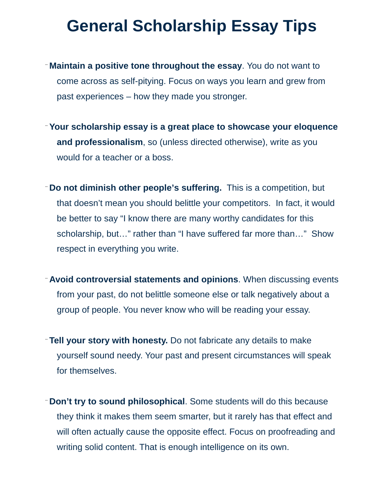## **General Scholarship Essay Tips**

- ¨ **Maintain a positive tone throughout the essay**. You do not want to come across as self-pitying. Focus on ways you learn and grew from past experiences – how they made you stronger.
- ¨ **Your scholarship essay is a great place to showcase your eloquence and professionalism**, so (unless directed otherwise), write as you would for a teacher or a boss.
- ¨ **Do not diminish other people's suffering.** This is a competition, but that doesn't mean you should belittle your competitors. In fact, it would be better to say "I know there are many worthy candidates for this scholarship, but…" rather than "I have suffered far more than…" Show respect in everything you write.
- ¨ **Avoid controversial statements and opinions**. When discussing events from your past, do not belittle someone else or talk negatively about a group of people. You never know who will be reading your essay.
- ¨ **Tell your story with honesty.** Do not fabricate any details to make yourself sound needy. Your past and present circumstances will speak for themselves.
- ¨ **Don't try to sound philosophical**. Some students will do this because they think it makes them seem smarter, but it rarely has that effect and will often actually cause the opposite effect. Focus on proofreading and writing solid content. That is enough intelligence on its own.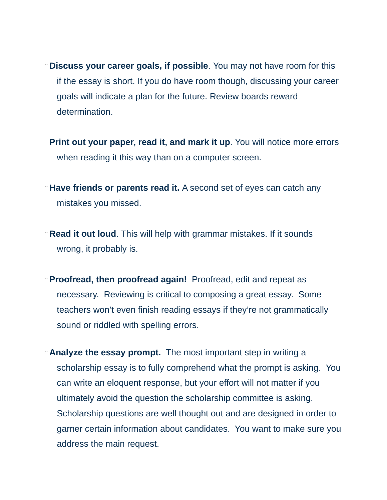- ¨ **Discuss your career goals, if possible**. You may not have room for this if the essay is short. If you do have room though, discussing your career goals will indicate a plan for the future. Review boards reward determination.
- ¨ **Print out your paper, read it, and mark it up**. You will notice more errors when reading it this way than on a computer screen.
- ¨ **Have friends or parents read it.** A second set of eyes can catch any mistakes you missed.
- ¨ **Read it out loud**. This will help with grammar mistakes. If it sounds wrong, it probably is.
- ¨ **Proofread, then proofread again!** Proofread, edit and repeat as necessary. Reviewing is critical to composing a great essay. Some teachers won't even finish reading essays if they're not grammatically sound or riddled with spelling errors.
- ¨ **Analyze the essay prompt.** The most important step in writing a scholarship essay is to fully comprehend what the prompt is asking. You can write an eloquent response, but your effort will not matter if you ultimately avoid the question the scholarship committee is asking. Scholarship questions are well thought out and are designed in order to garner certain information about candidates. You want to make sure you address the main request.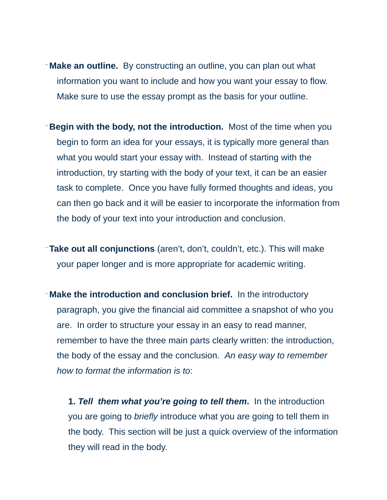- ¨ **Make an outline.** By constructing an outline, you can plan out what information you want to include and how you want your essay to flow. Make sure to use the essay prompt as the basis for your outline.
- ¨ **Begin with the body, not the introduction.** Most of the time when you begin to form an idea for your essays, it is typically more general than what you would start your essay with. Instead of starting with the introduction, try starting with the body of your text, it can be an easier task to complete. Once you have fully formed thoughts and ideas, you can then go back and it will be easier to incorporate the information from the body of your text into your introduction and conclusion.
- ¨ **Take out all conjunctions** (aren't, don't, couldn't, etc.). This will make your paper longer and is more appropriate for academic writing.
- ¨ **Make the introduction and conclusion brief.** In the introductory paragraph, you give the financial aid committee a snapshot of who you are. In order to structure your essay in an easy to read manner, remember to have the three main parts clearly written: the introduction, the body of the essay and the conclusion. *An easy way to remember how to format the information is to*:

**1.** *Tell them what you're going to tell them***.** In the introduction you are going to *briefly* introduce what you are going to tell them in the body. This section will be just a quick overview of the information they will read in the body.